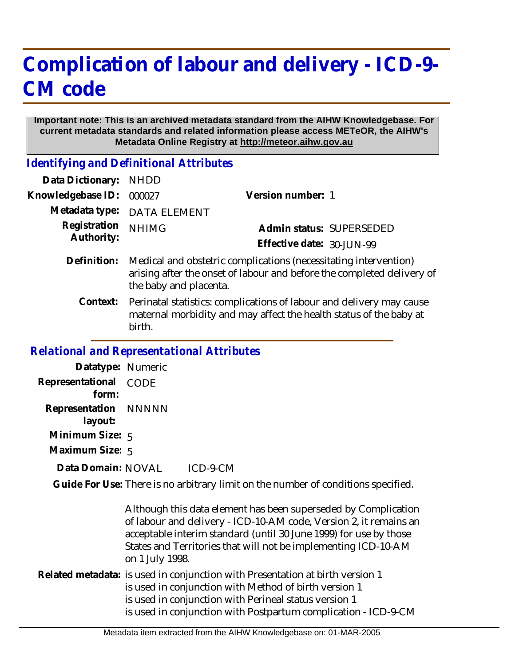## **Complication of labour and delivery - ICD-9- CM code**

## **Important note: This is an archived metadata standard from the AIHW Knowledgebase. For current metadata standards and related information please access METeOR, the AIHW's Metadata Online Registry at http://meteor.aihw.gov.au**

*Identifying and Definitional Attributes*

| Data Dictionary:           | <b>NHDD</b>                                                                                                                                                          |                           |                          |
|----------------------------|----------------------------------------------------------------------------------------------------------------------------------------------------------------------|---------------------------|--------------------------|
| Knowledgebase ID:          | 000027                                                                                                                                                               | Version number: 1         |                          |
| Metadata type:             | <b>DATA ELEMENT</b>                                                                                                                                                  |                           |                          |
| Registration<br>Authority: | <b>NHIMG</b>                                                                                                                                                         |                           | Admin status: SUPERSEDED |
|                            |                                                                                                                                                                      | Effective date: 30-JUN-99 |                          |
| Definition:                | Medical and obstetric complications (necessitating intervention)<br>arising after the onset of labour and before the completed delivery of<br>the baby and placenta. |                           |                          |
| Context:                   | Perinatal statistics: complications of labour and delivery may cause<br>maternal morbidity and may affect the health status of the baby at<br>birth.                 |                           |                          |
|                            |                                                                                                                                                                      |                           |                          |

## *Relational and Representational Attributes*

**Datatype:** Numeric **Representational** CODE  **form: Representation** NNNNN  **layout: Minimum Size:** 5 **Maximum Size:** 5 ICD-9-CM Guide For Use: There is no arbitrary limit on the number of conditions specified. **Data Domain:**

Although this data element has been superseded by Complication of labour and delivery - ICD-10-AM code, Version 2, it remains an acceptable interim standard (until 30 June 1999) for use by those States and Territories that will not be implementing ICD-10-AM on 1 July 1998. Related metadata: is used in conjunction with Presentation at birth version 1 is used in conjunction with Method of birth version 1

> is used in conjunction with Perineal status version 1 is used in conjunction with Postpartum complication - ICD-9-CM